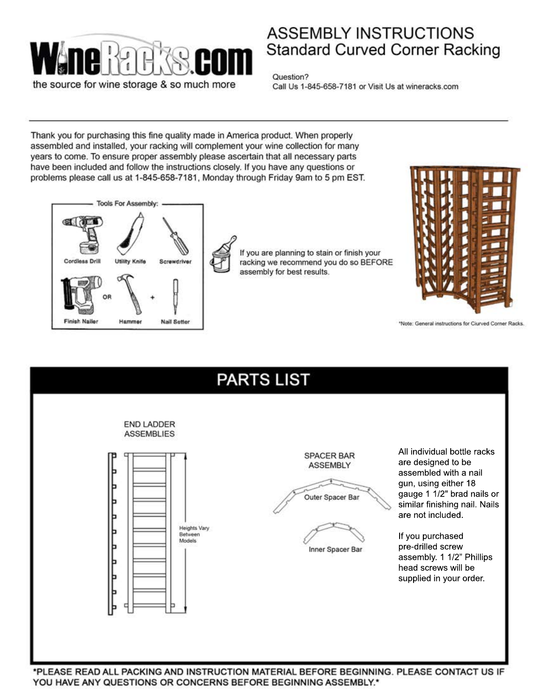

## **ASSEMBLY INSTRUCTIONS Standard Curved Corner Racking**

Question? Call Us 1-845-658-7181 or Visit Us at wineracks.com

Thank you for purchasing this fine quality made in America product. When properly assembled and installed, your racking will complement your wine collection for many years to come. To ensure proper assembly please ascertain that all necessary parts have been included and follow the instructions closely. If you have any questions or problems please call us at 1-845-658-7181, Monday through Friday 9am to 5 pm EST.





If you are planning to stain or finish your racking we recommend you do so BEFORE assembly for best results.



\*Note: General instructions for Ciurved Corner Racks.



YOU HAVE ANY QUESTIONS OR CONCERNS BEFORE BEGINNING ASSEMBLY.\*